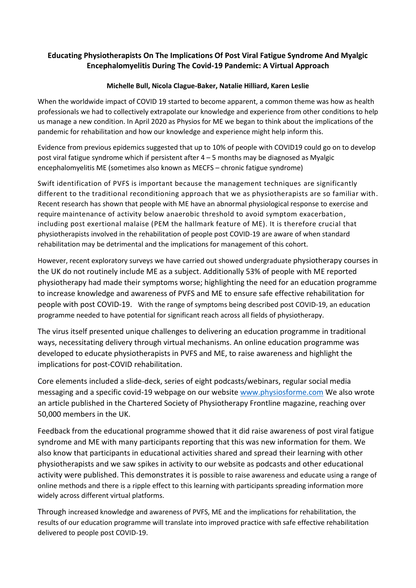## **Educating Physiotherapists On The Implications Of Post Viral Fatigue Syndrome And Myalgic Encephalomyelitis During The Covid-19 Pandemic: A Virtual Approach**

## **Michelle Bull, Nicola Clague-Baker, Natalie Hilliard, Karen Leslie**

When the worldwide impact of COVID 19 started to become apparent, a common theme was how as health professionals we had to collectively extrapolate our knowledge and experience from other conditions to help us manage a new condition. In April 2020 as Physios for ME we began to think about the implications of the pandemic for rehabilitation and how our knowledge and experience might help inform this.

Evidence from previous epidemics suggested that up to 10% of people with COVID19 could go on to develop post viral fatigue syndrome which if persistent after  $4 - 5$  months may be diagnosed as Myalgic encephalomyelitis ME (sometimes also known as MECFS – chronic fatigue syndrome)

Swift identification of PVFS is important because the management techniques are significantly different to the traditional reconditioning approach that we as physiotherapists are so familiar with. Recent research has shown that people with ME have an abnormal physiological response to exercise and require maintenance of activity below anaerobic threshold to avoid symptom exacerbation, including post exertional malaise (PEM the hallmark feature of ME). It is therefore crucial that physiotherapists involved in the rehabilitation of people post COVID-19 are aware of when standard rehabilitation may be detrimental and the implications for management of this cohort.

However, recent exploratory surveys we have carried out showed undergraduate physiotherapy courses in the UK do not routinely include ME as a subject. Additionally 53% of people with ME reported physiotherapy had made their symptoms worse; highlighting the need for an education programme to increase knowledge and awareness of PVFS and ME to ensure safe effective rehabilitation for people with post COVID-19. With the range of symptoms being described post COVID-19, an education programme needed to have potential for significant reach across all fields of physiotherapy.

The virus itself presented unique challenges to delivering an education programme in traditional ways, necessitating delivery through virtual mechanisms. An online education programme was developed to educate physiotherapists in PVFS and ME, to raise awareness and highlight the implications for post-COVID rehabilitation.

Core elements included a slide-deck, series of eight podcasts/webinars, regular social media messaging and a specific covid-19 webpage on our website [www.physiosforme.com](http://www.physiosforme.com/) We also wrote an article published in the Chartered Society of Physiotherapy Frontline magazine, reaching over 50,000 members in the UK.

Feedback from the educational programme showed that it did raise awareness of post viral fatigue syndrome and ME with many participants reporting that this was new information for them. We also know that participants in educational activities shared and spread their learning with other physiotherapists and we saw spikes in activity to our website as podcasts and other educational activity were published. This demonstrates it is possible to raise awareness and educate using a range of online methods and there is a ripple effect to this learning with participants spreading information more widely across different virtual platforms.

Through increased knowledge and awareness of PVFS, ME and the implications for rehabilitation, the results of our education programme will translate into improved practice with safe effective rehabilitation delivered to people post COVID-19.